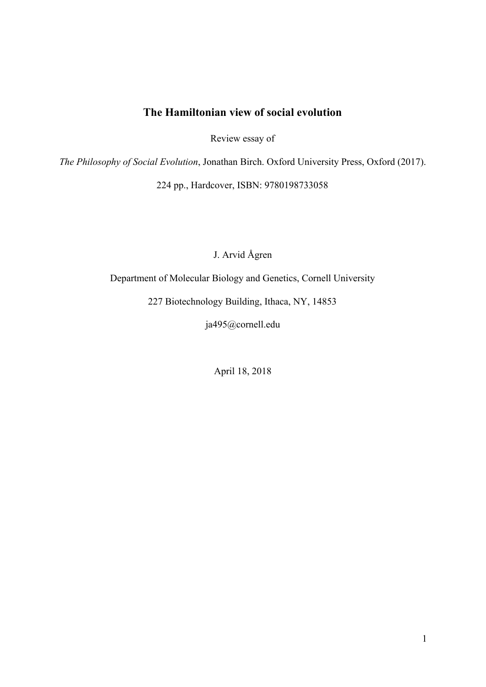# **The Hamiltonian view of social evolution**

Review essay of

*The Philosophy of Social Evolution*, Jonathan Birch. Oxford University Press, Oxford (2017).

224 pp., Hardcover, ISBN: 9780198733058

J. Arvid Ågren

Department of Molecular Biology and Genetics, Cornell University

227 Biotechnology Building, Ithaca, NY, 14853

ja495@cornell.edu

April 18, 2018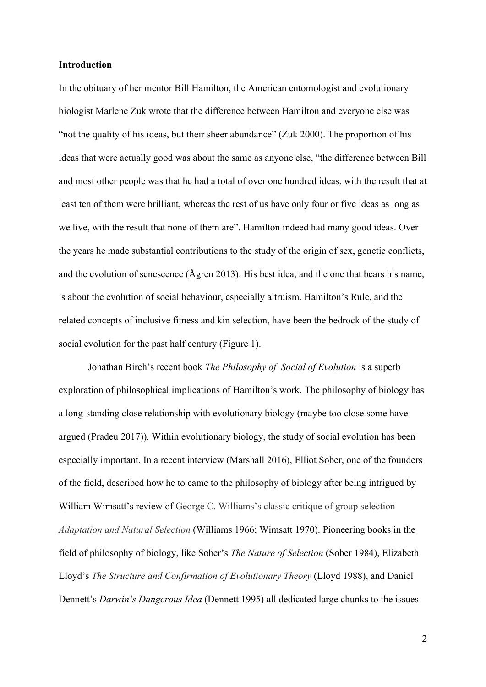## **Introduction**

In the obituary of her mentor Bill Hamilton, the American entomologist and evolutionary biologist Marlene Zuk wrote that the difference between Hamilton and everyone else was "not the quality of his ideas, but their sheer abundance" [\(Zuk 2000\)](https://paperpile.com/c/DdIufk/tJwHN). The proportion of his ideas that were actually good was about the same as anyone else, "the difference between Bill and most other people was that he had a total of over one hundred ideas, with the result that at least ten of them were brilliant, whereas the rest of us have only four or five ideas as long as we live, with the result that none of them are". Hamilton indeed had many good ideas. Over the years he made substantial contributions to the study of the origin of sex, genetic conflicts, and the evolution of senescence [\(Ågren 2013\).](https://paperpile.com/c/DdIufk/ADJ6K) His best idea, and the one that bears his name, is about the evolution of social behaviour, especially altruism. Hamilton's Rule, and the related concepts of inclusive fitness and kin selection, have been the bedrock of the study of social evolution for the past half century (Figure 1).

Jonathan Birch's recent book *The Philosophy of Social of Evolution* is a superb exploration of philosophical implications of Hamilton's work. The philosophy of biology has a long-standing close relationship with evolutionary biology (maybe too close some have argued [\(Pradeu 2017\)](https://paperpile.com/c/DdIufk/dIvoN)). Within evolutionary biology, the study of social evolution has been especially important. In a recent interview [\(Marshall 2016\),](https://paperpile.com/c/DdIufk/oeOL5/?prefix=Marshall&noauthor=1) Elliot Sober, one of the founders of the field, described how he to came to the philosophy of biology after being intrigued by William Wimsatt's review of George C. Williams's classic critique of group selection *Adaptation and Natural Selection* [\(Williams 1966; Wimsatt 1970\).](https://paperpile.com/c/DdIufk/mrMzh+ipIMQ) Pioneering books in the field of philosophy of biology, like Sober's *The Nature of Selection* [\(Sober 1984\)](https://paperpile.com/c/DdIufk/hkSKw), Elizabeth Lloyd's *The Structure and Confirmation of Evolutionary Theory* [\(Lloyd 1988\),](https://paperpile.com/c/DdIufk/6SY47) and Daniel Dennett's *Darwin's Dangerous Idea* [\(Dennett 1995\)](https://paperpile.com/c/DdIufk/5Ebkv) all dedicated large chunks to the issues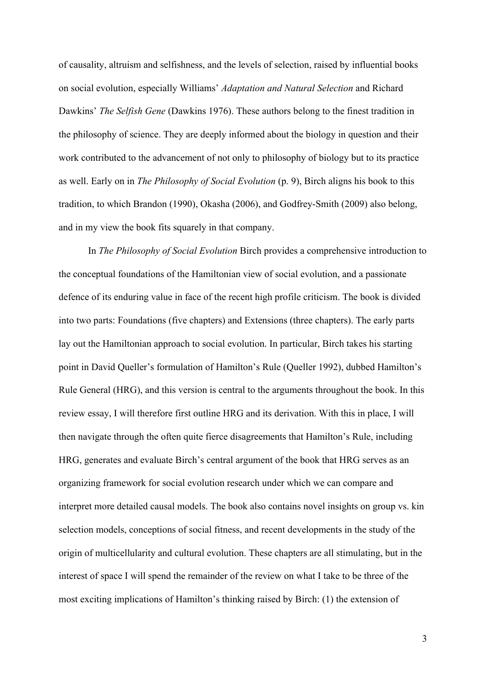of causality, altruism and selfishness, and the levels of selection, raised by influential books on social evolution, especially Williams' *Adaptation and Natural Selection* and Richard Dawkins' *The Selfish Gene* [\(Dawkins 1976\).](https://paperpile.com/c/DdIufk/A3eiw/?prefix=Dawkins&noauthor=1) These authors belong to the finest tradition in the philosophy of science. They are deeply informed about the biology in question and their work contributed to the advancement of not only to philosophy of biology but to its practice as well. Early on in *The Philosophy of Social Evolution* (p. 9), Birch aligns his book to this tradition, to which Brandon [\(1990\),](https://paperpile.com/c/DdIufk/v3oL6/?noauthor=1) Okasha [\(2006\),](https://paperpile.com/c/DdIufk/yQMZl/?noauthor=1) and Godfrey-Smith [\(2009\)](https://paperpile.com/c/DdIufk/sGhtd/?noauthor=1) also belong, and in my view the book fits squarely in that company.

In *The Philosophy of Social Evolution* Birch provides a comprehensive introduction to the conceptual foundations of the Hamiltonian view of social evolution, and a passionate defence of its enduring value in face of the recent high profile criticism. The book is divided into two parts: Foundations (five chapters) and Extensions (three chapters). The early parts lay out the Hamiltonian approach to social evolution. In particular, Birch takes his starting point in David Queller's formulation of Hamilton's Rule [\(Queller 1992\),](https://paperpile.com/c/DdIufk/x671s) dubbed Hamilton's Rule General (HRG), and this version is central to the arguments throughout the book. In this review essay, I will therefore first outline HRG and its derivation. With this in place, I will then navigate through the often quite fierce disagreements that Hamilton's Rule, including HRG, generates and evaluate Birch's central argument of the book that HRG serves as an organizing framework for social evolution research under which we can compare and interpret more detailed causal models. The book also contains novel insights on group vs. kin selection models, conceptions of social fitness, and recent developments in the study of the origin of multicellularity and cultural evolution. These chapters are all stimulating, but in the interest of space I will spend the remainder of the review on what I take to be three of the most exciting implications of Hamilton's thinking raised by Birch: (1) the extension of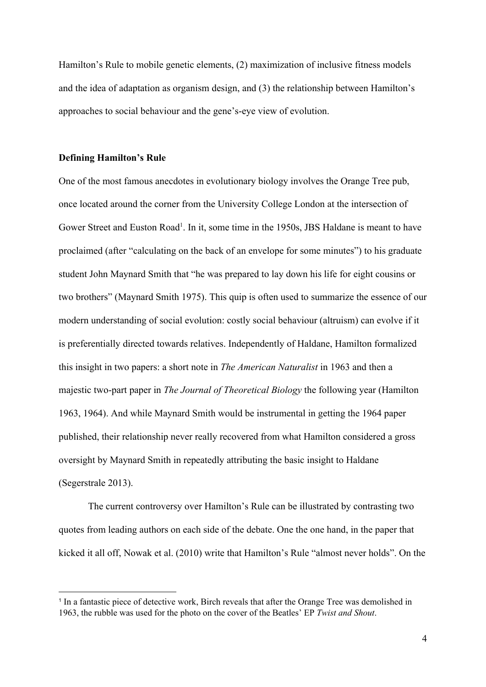Hamilton's Rule to mobile genetic elements, (2) maximization of inclusive fitness models and the idea of adaptation as organism design, and (3) the relationship between Hamilton's approaches to social behaviour and the gene's-eye view of evolution.

# **Defining Hamilton's Rule**

One of the most famous anecdotes in evolutionary biology involves the Orange Tree pub, once located around the corner from the University College London at the intersection of Gower Street and Euston Road<sup>1</sup>. In it, some time in the 1950s, JBS Haldane is meant to have proclaimed (after "calculating on the back of an envelope for some minutes") to his graduate student John Maynard Smith that "he was prepared to lay down his life for eight cousins or two brothers" [\(Maynard Smith 1975\).](https://paperpile.com/c/DdIufk/3yhix/?prefix=Maynard%20Smith&noauthor=1) This quip is often used to summarize the essence of our modern understanding of social evolution: costly social behaviour (altruism) can evolve if it is preferentially directed towards relatives. Independently of Haldane, Hamilton formalized this insight in two papers: a short note in *The American Naturalist* in 1963 and then a majestic two-part paper in *The Journal of Theoretical Biology* the following year [\(Hamilton](https://paperpile.com/c/DdIufk/F6bww+ujyTF/?prefix=Hamilton,&noauthor=1,1) [1963, 1964\)](https://paperpile.com/c/DdIufk/F6bww+ujyTF/?prefix=Hamilton,&noauthor=1,1). And while Maynard Smith would be instrumental in getting the 1964 paper published, their relationship never really recovered from what Hamilton considered a gross oversight by Maynard Smith in repeatedly attributing the basic insight to Haldane [\(Segerstrale 2013\).](https://paperpile.com/c/DdIufk/RG4tB)

The current controversy over Hamilton's Rule can be illustrated by contrasting two quotes from leading authors on each side of the debate. One the one hand, in the paper that kicked it all off, Nowak et al. [\(2010\)](https://paperpile.com/c/DdIufk/nxmfg/?noauthor=1) write that Hamilton's Rule "almost never holds". On the

<sup>&</sup>lt;sup>1</sup> In a fantastic piece of detective work, Birch reveals that after the Orange Tree was demolished in 1963, the rubble was used for the photo on the cover of the Beatles' EP *Twist and Shout*.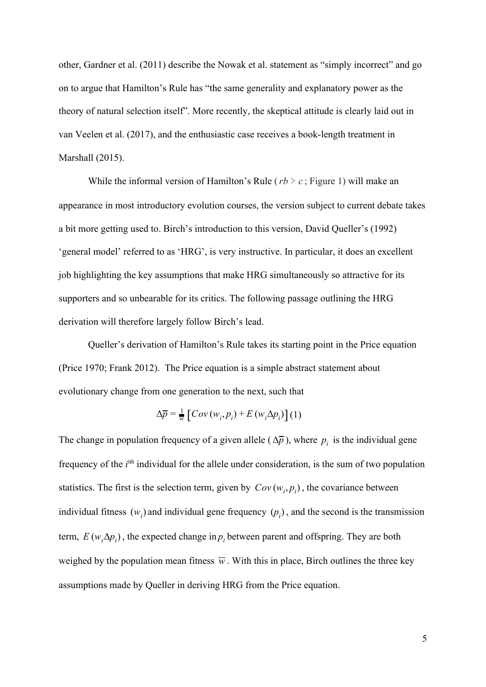other, Gardner et al. [\(2011\)](https://paperpile.com/c/DdIufk/vlYdd/?noauthor=1) describe the Nowak et al. statement as "simply incorrect" and go on to argue that Hamilton's Rule has "the same generality and explanatory power as the theory of natural selection itself". More recently, the skeptical attitude is clearly laid out in van Veelen et al. [\(2017\),](https://paperpile.com/c/DdIufk/tfbg0/?noauthor=1) and the enthusiastic case receives a book-length treatment in Marshall [\(2015\).](https://paperpile.com/c/DdIufk/0qYT8/?noauthor=1)

While the informal version of Hamilton's Rule ( $rb > c$ ; Figure 1) will make an appearance in most introductory evolution courses, the version subject to current debate takes a bit more getting used to. Birch's introduction to this version, David Queller's [\(1992\)](https://paperpile.com/c/DdIufk/x671s/?noauthor=1) 'general model' referred to as 'HRG', is very instructive. In particular, it does an excellent job highlighting the key assumptions that make HRG simultaneously so attractive for its supporters and so unbearable for its critics. The following passage outlining the HRG derivation will therefore largely follow Birch's lead.

Queller's derivation of Hamilton's Rule takes its starting point in the Price equation [\(Price 1970; Frank 2012\)](https://paperpile.com/c/DdIufk/3zaF9+tepc7). The Price equation is a simple abstract statement about evolutionary change from one generation to the next, such that

$$
\Delta \overline{p} = \frac{1}{w} \left[ Cov \left( w_i, p_i \right) + E \left( w_i \Delta p_i \right) \right] (1)
$$

The change in population frequency of a given allele ( $\Delta \bar{p}$ ), where  $p_i$  is the individual gene frequency of the *i*<sup>th</sup> individual for the allele under consideration, is the sum of two population statistics. The first is the selection term, given by  $Cov(w_i, p_i)$ , the covariance between individual fitness  $(w_i)$  and individual gene frequency  $(p_i)$ , and the second is the transmission term,  $E(w_i \Delta p_i)$ , the expected change in  $p_i$  between parent and offspring. They are both weighed by the population mean fitness  $\overline{w}$ . With this in place, Birch outlines the three key assumptions made by Queller in deriving HRG from the Price equation.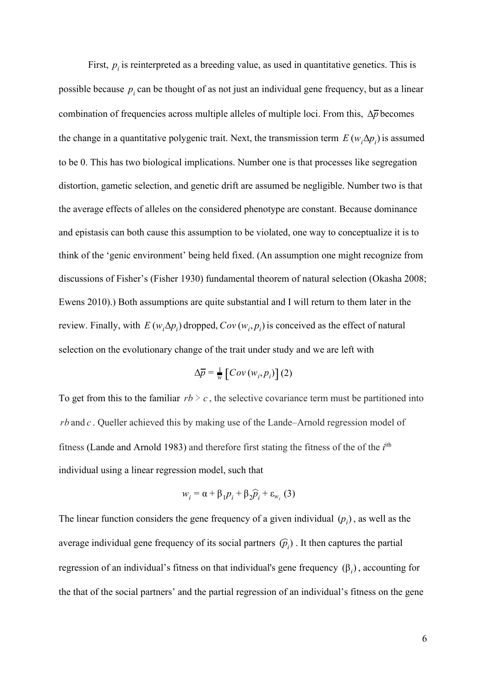First,  $p_i$  is reinterpreted as a breeding value, as used in quantitative genetics. This is possible because  $p_i$  can be thought of as not just an individual gene frequency, but as a linear combination of frequencies across multiple alleles of multiple loci. From this, Δ*p* becomes the change in a quantitative polygenic trait. Next, the transmission term  $E(w_i \Delta p_i)$  is assumed to be 0. This has two biological implications. Number one is that processes like segregation distortion, gametic selection, and genetic drift are assumed be negligible. Number two is that the average effects of alleles on the considered phenotype are constant. Because dominance and epistasis can both cause this assumption to be violated, one way to conceptualize it is to think of the 'genic environment' being held fixed. (An assumption one might recognize from discussions of Fisher's [\(Fisher 1930\)](https://paperpile.com/c/DdIufk/NPHAQ) fundamental theorem of natural selection [\(Okasha 2008;](https://paperpile.com/c/DdIufk/yuSyB+KFX2V) [Ewens 2010\)](https://paperpile.com/c/DdIufk/yuSyB+KFX2V).) Both assumptions are quite substantial and I will return to them later in the review. Finally, with  $E(w_i \Delta p_i)$  dropped,  $Cov(w_i, p_i)$  is conceived as the effect of natural selection on the evolutionary change of the trait under study and we are left with

$$
\Delta \overline{p} = \frac{1}{w} \left[ Cov(w_i, p_i) \right] (2)
$$

To get from this to the familiar  $rb > c$ , the selective covariance term must be partitioned into *rb* and *c* . Queller achieved this by making use of the Lande–Arnold regression model of fitness [\(Lande and Arnold 1983\)](https://paperpile.com/c/DdIufk/XOCu3) and therefore first stating the fitness of the of the *i*<sup>th</sup> individual using a linear regression model, such that

$$
w_i = \alpha + \beta_1 p_i + \beta_2 \widehat{p}_i + \varepsilon_{w_i} (3)
$$

The linear function considers the gene frequency of a given individual  $(p_i)$ , as well as the average individual gene frequency of its social partners  $(\hat{p}_i)$ . It then captures the partial regression of an individual's fitness on that individual's gene frequency  $(β<sub>i</sub>)$ , accounting for the that of the social partners' and the partial regression of an individual's fitness on the gene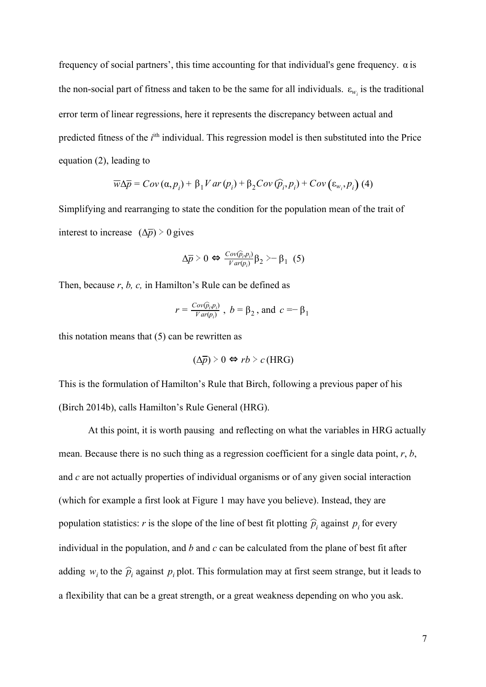frequency of social partners', this time accounting for that individual's gene frequency. α is the non-social part of fitness and taken to be the same for all individuals.  $\varepsilon_{w_i}$  is the traditional error term of linear regressions, here it represents the discrepancy between actual and predicted fitness of the *i*<sup>th</sup> individual. This regression model is then substituted into the Price equation (2), leading to

$$
\overline{w}\Delta\overline{p} = Cov(\alpha, p_i) + \beta_1 Var(p_i) + \beta_2 Cov(\widehat{p}_i, p_i) + Cov(\varepsilon_{w_i}, p_i)
$$
 (4)

Simplifying and rearranging to state the condition for the population mean of the trait of interest to increase  $(\Delta \overline{p})$  > 0 gives

$$
\Delta \overline{p} \geq 0 \Leftrightarrow \frac{\text{Cov}(\widehat{p}_i, p_i)}{\text{Var}(p_i)} \beta_2 \geq -\beta_1 \quad (5)
$$

Then, because *r*, *b, c,* in Hamilton's Rule can be defined as

$$
r = \frac{Cov(\hat{p}_i, p_i)}{Var(p_i)}
$$
,  $b = \beta_2$ , and  $c = -\beta_1$ 

this notation means that  $(5)$  can be rewritten as

$$
(\Delta \overline{p}) \geq 0 \Leftrightarrow rb \geq c \text{ (HRG)}
$$

This is the formulation of Hamilton's Rule that Birch, following a previous paper of his [\(Birch 2014b\),](https://paperpile.com/c/DdIufk/nyLwb/?prefix=Birch&noauthor=1) calls Hamilton's Rule General (HRG).

At this point, it is worth pausing and reflecting on what the variables in HRG actually mean. Because there is no such thing as a regression coefficient for a single data point, *r*, *b*, and *c* are not actually properties of individual organisms or of any given social interaction (which for example a first look at Figure 1 may have you believe). Instead, they are population statistics: *r* is the slope of the line of best fit plotting  $\hat{p}_i$  against  $p_i$  for every individual in the population, and *b* and *c* can be calculated from the plane of best fit after adding  $w_i$  to the  $\hat{p}_i$  against  $p_i$  plot. This formulation may at first seem strange, but it leads to a flexibility that can be a great strength, or a great weakness depending on who you ask.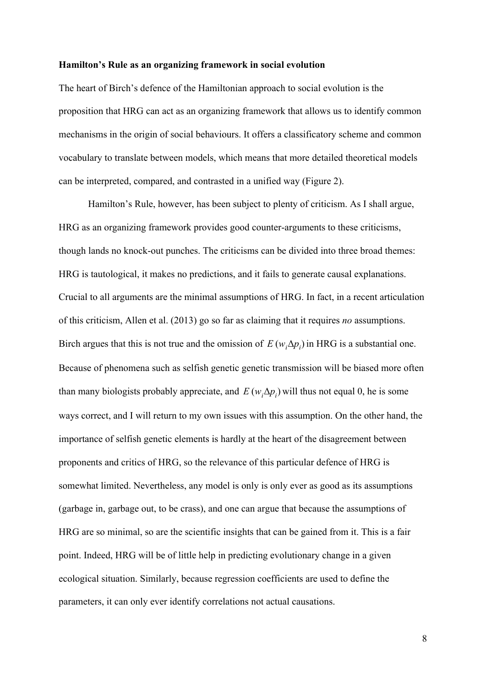#### **Hamilton's Rule as an organizing framework in social evolution**

The heart of Birch's defence of the Hamiltonian approach to social evolution is the proposition that HRG can act as an organizing framework that allows us to identify common mechanisms in the origin of social behaviours. It offers a classificatory scheme and common vocabulary to translate between models, which means that more detailed theoretical models can be interpreted, compared, and contrasted in a unified way (Figure 2).

Hamilton's Rule, however, has been subject to plenty of criticism. As I shall argue, HRG as an organizing framework provides good counter-arguments to these criticisms, though lands no knock-out punches. The criticisms can be divided into three broad themes: HRG is tautological, it makes no predictions, and it fails to generate causal explanations. Crucial to all arguments are the minimal assumptions of HRG. In fact, in a recent articulation of this criticism, Allen et al. [\(2013\)](https://paperpile.com/c/DdIufk/SMIW7/?noauthor=1) go so far as claiming that it requires *no* assumptions. Birch argues that this is not true and the omission of  $E(w, \Delta p)$  in HRG is a substantial one. Because of phenomena such as selfish genetic genetic transmission will be biased more often than many biologists probably appreciate, and  $E(w, \Delta p)$  will thus not equal 0, he is some ways correct, and I will return to my own issues with this assumption. On the other hand, the importance of selfish genetic elements is hardly at the heart of the disagreement between proponents and critics of HRG, so the relevance of this particular defence of HRG is somewhat limited. Nevertheless, any model is only is only ever as good as its assumptions (garbage in, garbage out, to be crass), and one can argue that because the assumptions of HRG are so minimal, so are the scientific insights that can be gained from it. This is a fair point. Indeed, HRG will be of little help in predicting evolutionary change in a given ecological situation. Similarly, because regression coefficients are used to define the parameters, it can only ever identify correlations not actual causations.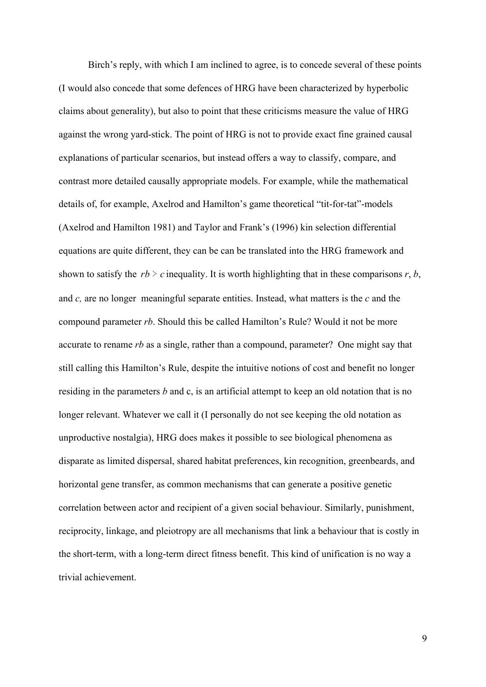Birch's reply, with which I am inclined to agree, is to concede several of these points (I would also concede that some defences of HRG have been characterized by hyperbolic claims about generality), but also to point that these criticisms measure the value of HRG against the wrong yard-stick. The point of HRG is not to provide exact fine grained causal explanations of particular scenarios, but instead offers a way to classify, compare, and contrast more detailed causally appropriate models. For example, while the mathematical details of, for example, Axelrod and Hamilton's game theoretical "tit-for-tat"-models [\(Axelrod and Hamilton 1981\)](https://paperpile.com/c/DdIufk/fOZv2) and Taylor and Frank's [\(1996\)](https://paperpile.com/c/DdIufk/9PCNF/?noauthor=1) kin selection differential equations are quite different, they can be can be translated into the HRG framework and shown to satisfy the  $rb > c$  inequality. It is worth highlighting that in these comparisons  $r, b$ , and *c,* are no longer meaningful separate entities. Instead, what matters is the *c* and the compound parameter *rb*. Should this be called Hamilton's Rule? Would it not be more accurate to rename *rb* as a single, rather than a compound, parameter? One might say that still calling this Hamilton's Rule, despite the intuitive notions of cost and benefit no longer residing in the parameters *b* and c, is an artificial attempt to keep an old notation that is no longer relevant. Whatever we call it (I personally do not see keeping the old notation as unproductive nostalgia), HRG does makes it possible to see biological phenomena as disparate as limited dispersal, shared habitat preferences, kin recognition, greenbeards, and horizontal gene transfer, as common mechanisms that can generate a positive genetic correlation between actor and recipient of a given social behaviour. Similarly, punishment, reciprocity, linkage, and pleiotropy are all mechanisms that link a behaviour that is costly in the short-term, with a long-term direct fitness benefit. This kind of unification is no way a trivial achievement.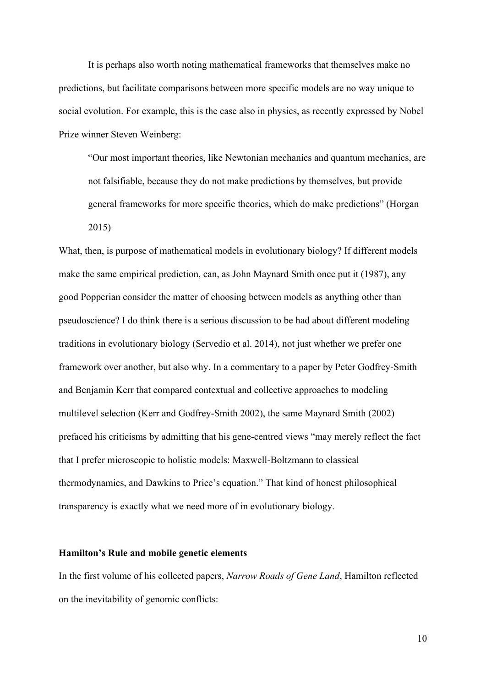It is perhaps also worth noting mathematical frameworks that themselves make no predictions, but facilitate comparisons between more specific models are no way unique to social evolution. For example, this is the case also in physics, as recently expressed by Nobel Prize winner Steven Weinberg:

"Our most important theories, like Newtonian mechanics and quantum mechanics, are not falsifiable, because they do not make predictions by themselves, but provide general frameworks for more specific theories, which do make predictions" [\(Horgan](https://paperpile.com/c/DdIufk/yYcEv) [2015\)](https://paperpile.com/c/DdIufk/yYcEv)

What, then, is purpose of mathematical models in evolutionary biology? If different models make the same empirical prediction, can, as John Maynard Smith once put it [\(1987\)](https://paperpile.com/c/DdIufk/8Igzv/?noauthor=1), any good Popperian consider the matter of choosing between models as anything other than pseudoscience? I do think there is a serious discussion to be had about different modeling traditions in evolutionary biology [\(Servedio et al. 2014\)](https://paperpile.com/c/DdIufk/G3sYT), not just whether we prefer one framework over another, but also why. In a commentary to a paper by Peter Godfrey-Smith and Benjamin Kerr that compared contextual and collective approaches to modeling multilevel selection [\(Kerr and Godfrey-Smith 2002\),](https://paperpile.com/c/DdIufk/skZVz) the same Maynard Smith [\(2002\)](https://paperpile.com/c/DdIufk/I2kaB/?noauthor=1) prefaced his criticisms by admitting that his gene-centred views "may merely reflect the fact that I prefer microscopic to holistic models: Maxwell-Boltzmann to classical thermodynamics, and Dawkins to Price's equation." That kind of honest philosophical transparency is exactly what we need more of in evolutionary biology.

## **Hamilton's Rule and mobile genetic elements**

In the first volume of his collected papers, *Narrow Roads of Gene Land*, Hamilton reflected on the inevitability of genomic conflicts: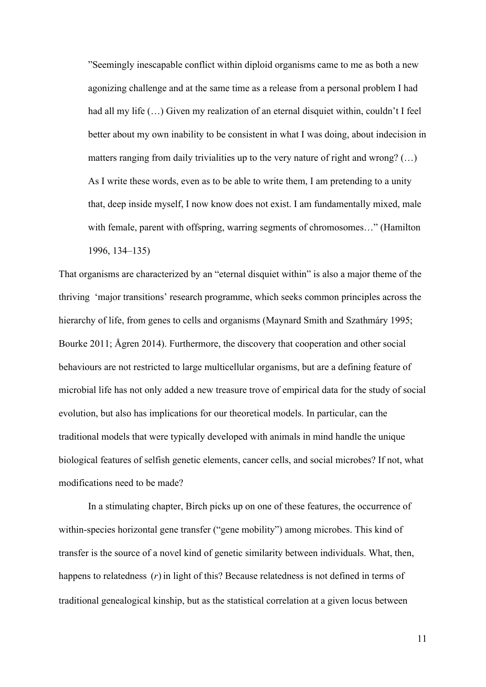"Seemingly inescapable conflict within diploid organisms came to me as both a new agonizing challenge and at the same time as a release from a personal problem I had had all my life  $(...)$  Given my realization of an eternal disquiet within, couldn't I feel better about my own inability to be consistent in what I was doing, about indecision in matters ranging from daily trivialities up to the very nature of right and wrong? (…) As I write these words, even as to be able to write them, I am pretending to a unity that, deep inside myself, I now know does not exist. I am fundamentally mixed, male with female, parent with offspring, warring segments of chromosomes..." [\(Hamilton](https://paperpile.com/c/DdIufk/4xksM/?locator=134-135&prefix=Hamilton&noauthor=1) [1996, 134–135\)](https://paperpile.com/c/DdIufk/4xksM/?locator=134-135&prefix=Hamilton&noauthor=1)

That organisms are characterized by an "eternal disquiet within" is also a major theme of the thriving 'major transitions' research programme, which seeks common principles across the hierarchy of life, from genes to cells and organisms [\(Maynard Smith and Szathmáry 1995;](https://paperpile.com/c/DdIufk/hNSSN+vD9sx+ZmxPg/?prefix=Maynard%20Smith%20and%20Szathm%C3%A1ry,,&noauthor=1,0,0) [Bourke 2011; Ågren 2014\).](https://paperpile.com/c/DdIufk/hNSSN+vD9sx+ZmxPg/?prefix=Maynard%20Smith%20and%20Szathm%C3%A1ry,,&noauthor=1,0,0) Furthermore, the discovery that cooperation and other social behaviours are not restricted to large multicellular organisms, but are a defining feature of microbial life has not only added a new treasure trove of empirical data for the study of social evolution, but also has implications for our theoretical models. In particular, can the traditional models that were typically developed with animals in mind handle the unique biological features of selfish genetic elements, cancer cells, and social microbes? If not, what modifications need to be made?

In a stimulating chapter, Birch picks up on one of these features, the occurrence of within-species horizontal gene transfer ("gene mobility") among microbes. This kind of transfer is the source of a novel kind of genetic similarity between individuals. What, then, happens to relatedness (*r*) in light of this? Because relatedness is not defined in terms of traditional genealogical kinship, but as the statistical correlation at a given locus between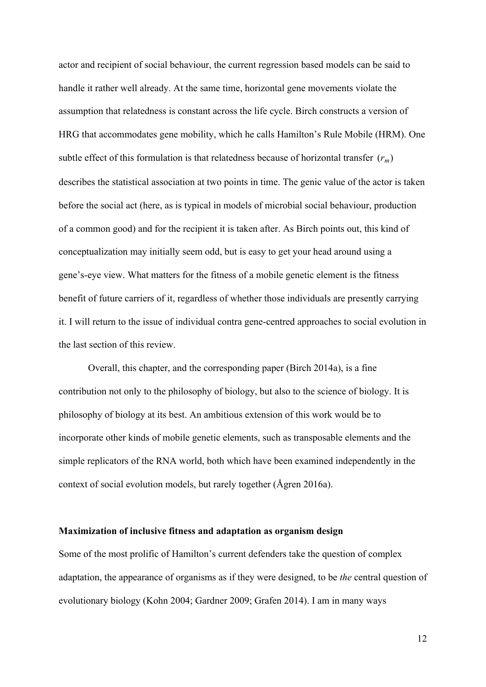actor and recipient of social behaviour, the current regression based models can be said to handle it rather well already. At the same time, horizontal gene movements violate the assumption that relatedness is constant across the life cycle. Birch constructs a version of HRG that accommodates gene mobility, which he calls Hamilton's Rule Mobile (HRM). One subtle effect of this formulation is that relatedness because of horizontal transfer  $(r_m)$ describes the statistical association at two points in time. The genic value of the actor is taken before the social act (here, as is typical in models of microbial social behaviour, production of a common good) and for the recipient it is taken after. As Birch points out, this kind of conceptualization may initially seem odd, but is easy to get your head around using a gene's-eye view. What matters for the fitness of a mobile genetic element is the fitness benefit of future carriers of it, regardless of whether those individuals are presently carrying it. I will return to the issue of individual contra gene-centred approaches to social evolution in the last section of this review.

Overall, this chapter, and the corresponding paper [\(Birch 2014a\)](https://paperpile.com/c/DdIufk/vu2ji/?prefix=Birch&noauthor=1), is a fine contribution not only to the philosophy of biology, but also to the science of biology. It is philosophy of biology at its best. An ambitious extension of this work would be to incorporate other kinds of mobile genetic elements, such as transposable elements and the simple replicators of the RNA world, both which have been examined independently in the context of social evolution models, but rarely together [\(Ågren 2016a\)](https://paperpile.com/c/DdIufk/LCmnQ).

#### **Maximization of inclusive fitness and adaptation as organism design**

Some of the most prolific of Hamilton's current defenders take the question of complex adaptation, the appearance of organisms as if they were designed, to be *the* central question of evolutionary biology [\(Kohn 2004; Gardner 2009; Grafen 2014\).](https://paperpile.com/c/DdIufk/VXjdr+txhsP+oPofR/?noauthor=0,1,1&prefix=,Gardner,Grafen) I am in many ways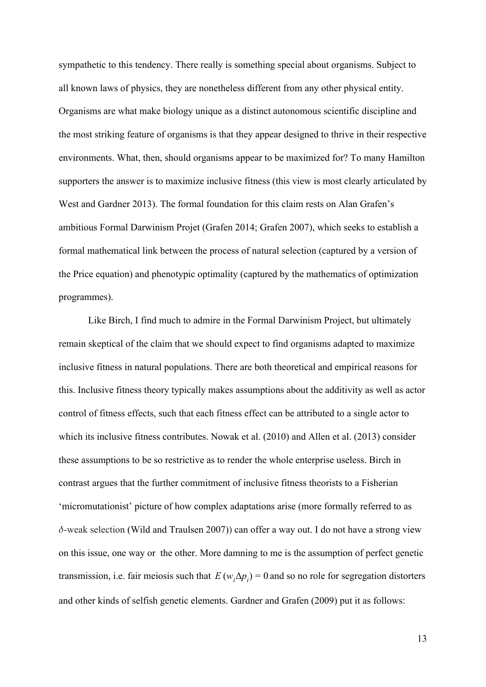sympathetic to this tendency. There really is something special about organisms. Subject to all known laws of physics, they are nonetheless different from any other physical entity. Organisms are what make biology unique as a distinct autonomous scientific discipline and the most striking feature of organisms is that they appear designed to thrive in their respective environments. What, then, should organisms appear to be maximized for? To many Hamilton supporters the answer is to maximize inclusive fitness [\(this view is most clearly articulated by](https://paperpile.com/c/DdIufk/Gxo42/?prefix=this%20view%20is%20most%20clearly%20articulated%20by%20West%20and%20Gardner&noauthor=1) [West and Gardner 2013\).](https://paperpile.com/c/DdIufk/Gxo42/?prefix=this%20view%20is%20most%20clearly%20articulated%20by%20West%20and%20Gardner&noauthor=1) The formal foundation for this claim rests on Alan Grafen's ambitious Formal Darwinism Projet [\(Grafen 2014; Grafen 2007\),](https://paperpile.com/c/DdIufk/oPofR+b66Zz/?prefix=Grafen,Grafen&noauthor=1,1) which seeks to establish a formal mathematical link between the process of natural selection (captured by a version of the Price equation) and phenotypic optimality (captured by the mathematics of optimization programmes).

Like Birch, I find much to admire in the Formal Darwinism Project, but ultimately remain skeptical of the claim that we should expect to find organisms adapted to maximize inclusive fitness in natural populations. There are both theoretical and empirical reasons for this. Inclusive fitness theory typically makes assumptions about the additivity as well as actor control of fitness effects, such that each fitness effect can be attributed to a single actor to which its inclusive fitness contributes. Nowak et al. [\(2010\)](https://paperpile.com/c/DdIufk/nxmfg/?noauthor=1) and Allen et al. [\(2013\)](https://paperpile.com/c/DdIufk/SMIW7/?noauthor=1) consider these assumptions to be so restrictive as to render the whole enterprise useless. Birch in contrast argues that the further commitment of inclusive fitness theorists to a Fisherian 'micromutationist' picture of how complex adaptations arise (more formally referred to as  $\delta$ -weak selection [\(Wild and Traulsen 2007\)\)](https://paperpile.com/c/DdIufk/5FNuz) can offer a way out. I do not have a strong view on this issue, one way or the other. More damning to me is the assumption of perfect genetic transmission, i.e. fair meiosis such that  $E(w_i \Delta p_i) = 0$  and so no role for segregation distorters and other kinds of selfish genetic elements. Gardner and Grafen [\(2009\)](https://paperpile.com/c/DdIufk/DjNrY/?noauthor=1) put it as follows: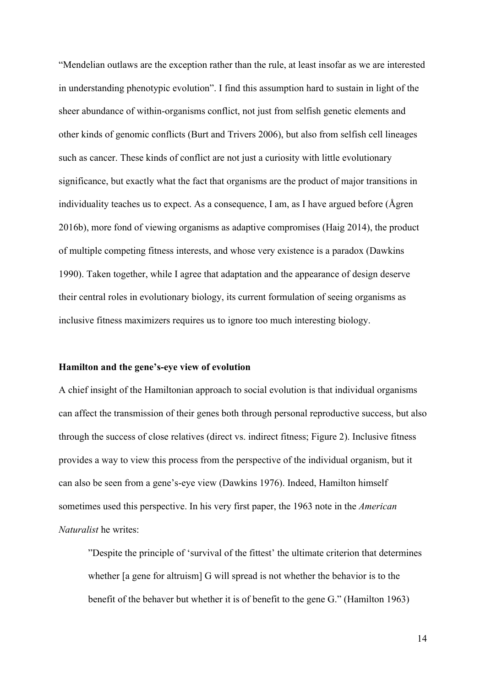"Mendelian outlaws are the exception rather than the rule, at least insofar as we are interested in understanding phenotypic evolution". I find this assumption hard to sustain in light of the sheer abundance of within-organisms conflict, not just from selfish genetic elements and other kinds of genomic conflicts [\(Burt and Trivers 2006\),](https://paperpile.com/c/DdIufk/VccXh) but also from selfish cell lineages such as cancer. These kinds of conflict are not just a curiosity with little evolutionary significance, but exactly what the fact that organisms are the product of major transitions in individuality teaches us to expect. As a consequence, I am, as I have argued before [\(Ågren](https://paperpile.com/c/DdIufk/y22Jk) [2016b\)](https://paperpile.com/c/DdIufk/y22Jk), more fond of viewing organisms as adaptive compromises [\(Haig 2014\),](https://paperpile.com/c/DdIufk/rwvFN) the product of multiple competing fitness interests, and whose very existence is a paradox [\(Dawkins](https://paperpile.com/c/DdIufk/nN4Y4/?prefix=Dawkins&noauthor=1) [1990\)](https://paperpile.com/c/DdIufk/nN4Y4/?prefix=Dawkins&noauthor=1). Taken together, while I agree that adaptation and the appearance of design deserve their central roles in evolutionary biology, its current formulation of seeing organisms as inclusive fitness maximizers requires us to ignore too much interesting biology.

## **Hamilton and the gene's-eye view of evolution**

A chief insight of the Hamiltonian approach to social evolution is that individual organisms can affect the transmission of their genes both through personal reproductive success, but also through the success of close relatives (direct vs. indirect fitness; Figure 2). Inclusive fitness provides a way to view this process from the perspective of the individual organism, but it can also be seen from a gene's-eye view [\(Dawkins 1976\).](https://paperpile.com/c/DdIufk/A3eiw/?prefix=Dawkins&noauthor=1) Indeed, Hamilton himself sometimes used this perspective. In his very first paper, the 1963 note in the *American Naturalist* he writes:

"Despite the principle of 'survival of the fittest' the ultimate criterion that determines whether [a gene for altruism] G will spread is not whether the behavior is to the benefit of the behaver but whether it is of benefit to the gene G." [\(Hamilton 1963\)](https://paperpile.com/c/DdIufk/F6bww/?prefix=Hamilton&noauthor=1)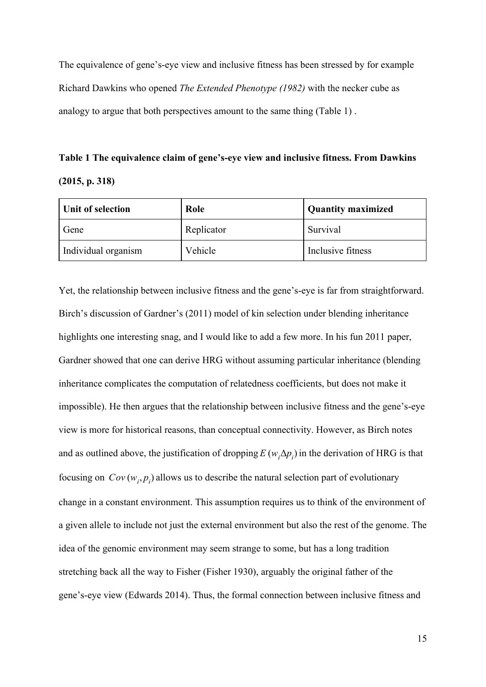The equivalence of gene's-eye view and inclusive fitness has been stressed by for example Richard Dawkins who opened *The Extended Phenotype [\(1982\)](https://paperpile.com/c/DdIufk/HEIP8/?noauthor=1)* with the necker cube as analogy to argue that both perspectives amount to the same thing (Table 1) .

**Table 1 The equivalence claim of gene's-eye view and inclusive fitness. From Dawkins (2015, p. 318)**

| Unit of selection   | Role       | Quantity maximized |
|---------------------|------------|--------------------|
| Gene                | Replicator | Survival           |
| Individual organism | Vehicle    | Inclusive fitness  |

Yet, the relationship between inclusive fitness and the gene's-eye is far from straightforward. Birch's discussion of Gardner's [\(2011\)](https://paperpile.com/c/DdIufk/uMBDk/?noauthor=1) model of kin selection under blending inheritance highlights one interesting snag, and I would like to add a few more. In his fun 2011 paper, Gardner showed that one can derive HRG without assuming particular inheritance (blending inheritance complicates the computation of relatedness coefficients, but does not make it impossible). He then argues that the relationship between inclusive fitness and the gene's-eye view is more for historical reasons, than conceptual connectivity. However, as Birch notes and as outlined above, the justification of dropping  $E(w_i \Delta p_i)$  in the derivation of HRG is that focusing on  $Cov(w_i, p_i)$  allows us to describe the natural selection part of evolutionary change in a constant environment. This assumption requires us to think of the environment of a given allele to include not just the external environment but also the rest of the genome. The idea of the genomic environment may seem strange to some, but has a long tradition stretching back all the way to Fisher [\(Fisher 1930\),](https://paperpile.com/c/DdIufk/NPHAQ) arguably the original father of the gene's-eye view [\(Edwards 2014\)](https://paperpile.com/c/DdIufk/7BDIJ). Thus, the formal connection between inclusive fitness and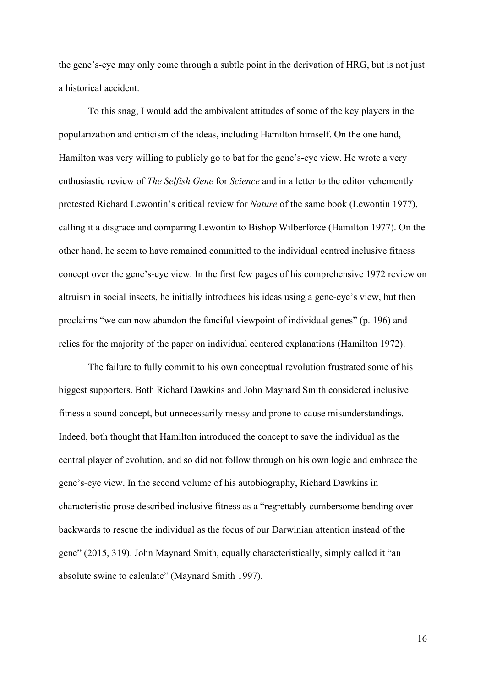the gene's-eye may only come through a subtle point in the derivation of HRG, but is not just a historical accident.

To this snag, I would add the ambivalent attitudes of some of the key players in the popularization and criticism of the ideas, including Hamilton himself. On the one hand, Hamilton was very willing to publicly go to bat for the gene's-eye view. He wrote a very enthusiastic review of *The Selfish Gene* for *Science* and in a letter to the editor vehemently protested Richard Lewontin's critical review for *Nature* of the same book [\(Lewontin 1977\),](https://paperpile.com/c/DdIufk/otuj9) calling it a disgrace and comparing Lewontin to Bishop Wilberforce [\(Hamilton 1977\)](https://paperpile.com/c/DdIufk/uyNxC/?prefix=Hamilton&noauthor=1). On the other hand, he seem to have remained committed to the individual centred inclusive fitness concept over the gene's-eye view. In the first few pages of his comprehensive 1972 review on altruism in social insects, he initially introduces his ideas using a gene-eye's view, but then proclaims "we can now abandon the fanciful viewpoint of individual genes" (p. 196) and relies for the majority of the paper on individual centered explanations [\(Hamilton 1972\)](https://paperpile.com/c/DdIufk/lToZJ/?prefix=Hamilton&noauthor=1).

The failure to fully commit to his own conceptual revolution frustrated some of his biggest supporters. Both Richard Dawkins and John Maynard Smith considered inclusive fitness a sound concept, but unnecessarily messy and prone to cause misunderstandings. Indeed, both thought that Hamilton introduced the concept to save the individual as the central player of evolution, and so did not follow through on his own logic and embrace the gene's-eye view. In the second volume of his autobiography, Richard Dawkins in characteristic prose described inclusive fitness as a "regrettably cumbersome bending over backwards to rescue the individual as the focus of our Darwinian attention instead of the gene" [\(2015, 319\)](https://paperpile.com/c/DdIufk/z9fy1/?locator=319&noauthor=1). John Maynard Smith, equally characteristically, simply called it "an absolute swine to calculate" [\(Maynard Smith 1997\).](https://paperpile.com/c/DdIufk/0aMaP/?prefix=Maynard%20Smith&noauthor=1)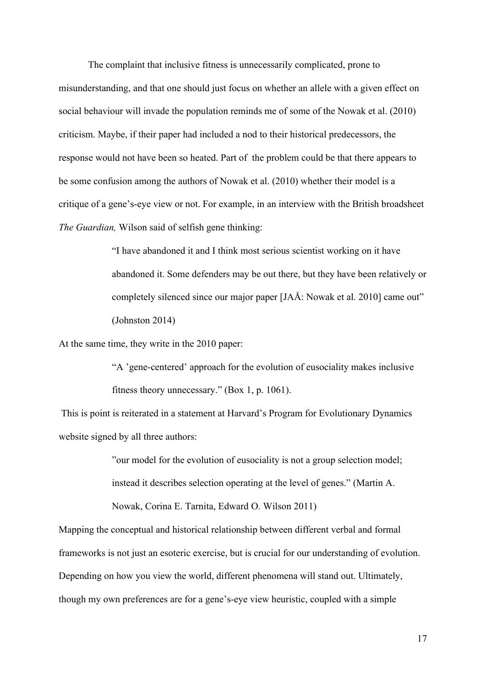The complaint that inclusive fitness is unnecessarily complicated, prone to misunderstanding, and that one should just focus on whether an allele with a given effect on social behaviour will invade the population reminds me of some of the Nowak et al. [\(2010\)](https://paperpile.com/c/DdIufk/nxmfg/?noauthor=1) criticism. Maybe, if their paper had included a nod to their historical predecessors, the response would not have been so heated. Part of the problem could be that there appears to be some confusion among the authors of Nowak et al. (2010) whether their model is a critique of a gene's-eye view or not. For example, in an interview with the British broadsheet *The Guardian,* Wilson said of selfish gene thinking:

> "I have abandoned it and I think most serious scientist working on it have abandoned it. Some defenders may be out there, but they have been relatively or completely silenced since our major paper [JAÅ: Nowak et al. 2010] came out" [\(Johnston 2014\)](https://paperpile.com/c/DdIufk/nOZZZ)

At the same time, they write in the 2010 paper:

"A 'gene-centered' approach for the evolution of eusociality makes inclusive fitness theory unnecessary." (Box 1, p. 1061).

 This is point is reiterated in a statement at Harvard's Program for Evolutionary Dynamics website signed by all three authors:

> "our model for the evolution of eusociality is not a group selection model; instead it describes selection operating at the level of genes." [\(Martin A.](https://paperpile.com/c/DdIufk/9cspl) [Nowak, Corina E. Tarnita, Edward O. Wilson 2011\)](https://paperpile.com/c/DdIufk/9cspl)

Mapping the conceptual and historical relationship between different verbal and formal frameworks is not just an esoteric exercise, but is crucial for our understanding of evolution. Depending on how you view the world, different phenomena will stand out. Ultimately, though my own preferences are for a gene's-eye view heuristic, coupled with a simple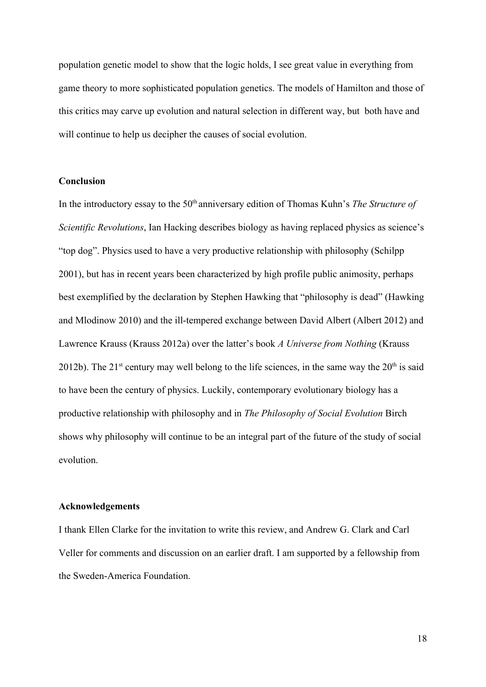population genetic model to show that the logic holds, I see great value in everything from game theory to more sophisticated population genetics. The models of Hamilton and those of this critics may carve up evolution and natural selection in different way, but both have and will continue to help us decipher the causes of social evolution.

## **Conclusion**

In the introductory essay to the 50<sup>th</sup> anniversary edition of Thomas Kuhn's *The Structure of Scientific Revolutions*, Ian Hacking describes biology as having replaced physics as science's "top dog". Physics used to have a very productive relationship with philosophy [\(Schilpp](https://paperpile.com/c/DdIufk/KAUrP) [2001\)](https://paperpile.com/c/DdIufk/KAUrP), but has in recent years been characterized by high profile public animosity, perhaps best exemplified by the declaration by Stephen Hawking that "philosophy is dead" [\(Hawking](https://paperpile.com/c/DdIufk/AUKRs) [and Mlodinow 2010\)](https://paperpile.com/c/DdIufk/AUKRs) and the ill-tempered exchange between David Albert [\(Albert 2012\)](https://paperpile.com/c/DdIufk/ws8ax) and Lawrence Krauss [\(Krauss 2012a\)](https://paperpile.com/c/DdIufk/TX8er) over the latter's book *A Universe from Nothing* [\(Krauss](https://paperpile.com/c/DdIufk/4Pn8e) [2012b\)](https://paperpile.com/c/DdIufk/4Pn8e). The 21<sup>st</sup> century may well belong to the life sciences, in the same way the  $20<sup>th</sup>$  is said to have been the century of physics. Luckily, contemporary evolutionary biology has a productive relationship with philosophy and in *The Philosophy of Social Evolution* Birch shows why philosophy will continue to be an integral part of the future of the study of social evolution.

## **Acknowledgements**

I thank Ellen Clarke for the invitation to write this review, and Andrew G. Clark and Carl Veller for comments and discussion on an earlier draft. I am supported by a fellowship from the Sweden-America Foundation.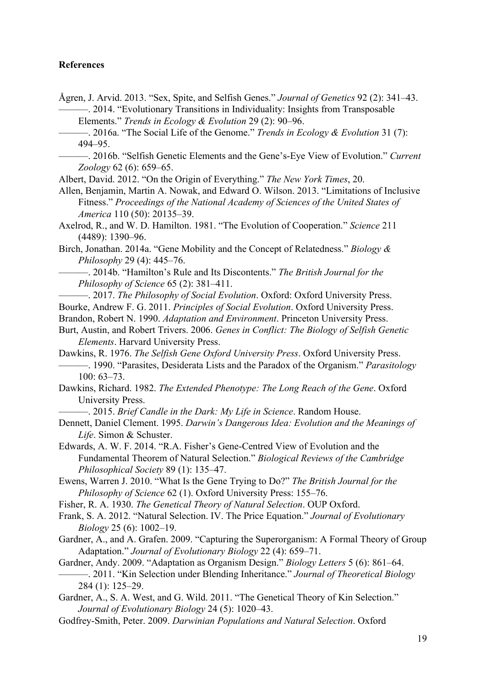# **References**

[Ågren, J. Arvid. 2013. "Sex, Spite, and Selfish Genes."](http://paperpile.com/b/DdIufk/ADJ6K) *[Journal of Genetics](http://paperpile.com/b/DdIufk/ADJ6K)* [92 \(2\): 341–43.](http://paperpile.com/b/DdIufk/ADJ6K) -. 2014. "Evolutionary Transitions in Individuality: Insights from Transposable [Elements."](http://paperpile.com/b/DdIufk/ZmxPg) *[Trends in Ecology & Evolution](http://paperpile.com/b/DdIufk/ZmxPg)* [29 \(2\): 90–96.](http://paperpile.com/b/DdIufk/ZmxPg)

[———. 2016a. "The Social Life of the Genome."](http://paperpile.com/b/DdIufk/LCmnQ) *[Trends in Ecology & Evolution](http://paperpile.com/b/DdIufk/LCmnQ)* [31 \(7\):](http://paperpile.com/b/DdIufk/LCmnQ) [494–95.](http://paperpile.com/b/DdIufk/LCmnQ)

[———. 2016b. "Selfish Genetic Elements and the Gene's-Eye View of Evolution."](http://paperpile.com/b/DdIufk/y22Jk) *[Current](http://paperpile.com/b/DdIufk/y22Jk) [Zoology](http://paperpile.com/b/DdIufk/y22Jk)* [62 \(6\): 659–65.](http://paperpile.com/b/DdIufk/y22Jk)

[Albert, David. 2012. "On the Origin of Everything."](http://paperpile.com/b/DdIufk/ws8ax) *[The New York Times](http://paperpile.com/b/DdIufk/ws8ax)*[, 20.](http://paperpile.com/b/DdIufk/ws8ax)

[Allen, Benjamin, Martin A. Nowak, and Edward O. Wilson. 2013. "Limitations of Inclusive](http://paperpile.com/b/DdIufk/SMIW7) [Fitness."](http://paperpile.com/b/DdIufk/SMIW7) *[Proceedings of the National Academy of Sciences of the United States of](http://paperpile.com/b/DdIufk/SMIW7) [America](http://paperpile.com/b/DdIufk/SMIW7)* [110 \(50\): 20135–39.](http://paperpile.com/b/DdIufk/SMIW7)

[Axelrod, R., and W. D. Hamilton. 1981. "The Evolution of Cooperation."](http://paperpile.com/b/DdIufk/fOZv2) *[Science](http://paperpile.com/b/DdIufk/fOZv2)* [211](http://paperpile.com/b/DdIufk/fOZv2) [\(4489\): 1390–96.](http://paperpile.com/b/DdIufk/fOZv2)

[Birch, Jonathan. 2014a. "Gene Mobility and the Concept of Relatedness."](http://paperpile.com/b/DdIufk/vu2ji) *[Biology &](http://paperpile.com/b/DdIufk/vu2ji) [Philosophy](http://paperpile.com/b/DdIufk/vu2ji)* [29 \(4\): 445–76.](http://paperpile.com/b/DdIufk/vu2ji)

- [———. 2014b. "Hamilton's Rule and Its Discontents."](http://paperpile.com/b/DdIufk/nyLwb) *[The British Journal for the](http://paperpile.com/b/DdIufk/nyLwb) [Philosophy of Science](http://paperpile.com/b/DdIufk/nyLwb)* [65 \(2\): 381–411.](http://paperpile.com/b/DdIufk/nyLwb)
- [———. 2017.](http://paperpile.com/b/DdIufk/MBFiO) *[The Philosophy of Social Evolution](http://paperpile.com/b/DdIufk/MBFiO)*[. Oxford: Oxford University Press.](http://paperpile.com/b/DdIufk/MBFiO)
- [Bourke, Andrew F. G. 2011.](http://paperpile.com/b/DdIufk/vD9sx) *[Principles of Social Evolution](http://paperpile.com/b/DdIufk/vD9sx)*[. Oxford University Press.](http://paperpile.com/b/DdIufk/vD9sx)

[Brandon, Robert N. 1990.](http://paperpile.com/b/DdIufk/v3oL6) *[Adaptation and Environment](http://paperpile.com/b/DdIufk/v3oL6)*[. Princeton University Press.](http://paperpile.com/b/DdIufk/v3oL6)

[Burt, Austin, and Robert Trivers. 2006.](http://paperpile.com/b/DdIufk/VccXh) *[Genes in Conflict: The Biology of Selfish Genetic](http://paperpile.com/b/DdIufk/VccXh) [Elements](http://paperpile.com/b/DdIufk/VccXh)*[. Harvard University Press.](http://paperpile.com/b/DdIufk/VccXh)

[Dawkins, R. 1976.](http://paperpile.com/b/DdIufk/A3eiw) *[The Selfish Gene Oxford University Press](http://paperpile.com/b/DdIufk/A3eiw)*[. Oxford University Press.](http://paperpile.com/b/DdIufk/A3eiw) [———. 1990. "Parasites, Desiderata Lists and the Paradox of the Organism."](http://paperpile.com/b/DdIufk/nN4Y4) *[Parasitology](http://paperpile.com/b/DdIufk/nN4Y4)* [100: 63–73.](http://paperpile.com/b/DdIufk/nN4Y4)

[Dawkins, Richard. 1982.](http://paperpile.com/b/DdIufk/HEIP8) *[The Extended Phenotype: The Long Reach of the Gene](http://paperpile.com/b/DdIufk/HEIP8)*[. Oxford](http://paperpile.com/b/DdIufk/HEIP8) [University Press.](http://paperpile.com/b/DdIufk/HEIP8)

[———. 2015.](http://paperpile.com/b/DdIufk/z9fy1) *[Brief Candle in the Dark: My Life in Science](http://paperpile.com/b/DdIufk/z9fy1)*[. Random House.](http://paperpile.com/b/DdIufk/z9fy1)

[Dennett, Daniel Clement. 1995.](http://paperpile.com/b/DdIufk/5Ebkv) *[Darwin's Dangerous Idea: Evolution and the Meanings of](http://paperpile.com/b/DdIufk/5Ebkv) [Life](http://paperpile.com/b/DdIufk/5Ebkv)*[. Simon & Schuster.](http://paperpile.com/b/DdIufk/5Ebkv)

[Edwards, A. W. F. 2014. "R.A. Fisher's Gene-Centred View of Evolution and the](http://paperpile.com/b/DdIufk/7BDIJ) [Fundamental Theorem of Natural Selection."](http://paperpile.com/b/DdIufk/7BDIJ) *[Biological Reviews of the Cambridge](http://paperpile.com/b/DdIufk/7BDIJ) [Philosophical Society](http://paperpile.com/b/DdIufk/7BDIJ)* [89 \(1\): 135–47.](http://paperpile.com/b/DdIufk/7BDIJ)

[Ewens, Warren J. 2010. "What Is the Gene Trying to Do?"](http://paperpile.com/b/DdIufk/KFX2V) *[The British Journal for the](http://paperpile.com/b/DdIufk/KFX2V) [Philosophy of Science](http://paperpile.com/b/DdIufk/KFX2V)* [62 \(1\). Oxford University Press: 155–76.](http://paperpile.com/b/DdIufk/KFX2V)

[Fisher, R. A. 1930.](http://paperpile.com/b/DdIufk/NPHAQ) *[The Genetical Theory of Natural Selection](http://paperpile.com/b/DdIufk/NPHAQ)*[. OUP Oxford.](http://paperpile.com/b/DdIufk/NPHAQ)

[Frank, S. A. 2012. "Natural Selection. IV. The Price Equation."](http://paperpile.com/b/DdIufk/tepc7) *[Journal of Evolutionary](http://paperpile.com/b/DdIufk/tepc7) [Biology](http://paperpile.com/b/DdIufk/tepc7)* [25 \(6\): 1002–19.](http://paperpile.com/b/DdIufk/tepc7)

[Gardner, A., and A. Grafen. 2009. "Capturing the Superorganism: A Formal Theory of Group](http://paperpile.com/b/DdIufk/DjNrY) [Adaptation."](http://paperpile.com/b/DdIufk/DjNrY) *[Journal of Evolutionary Biology](http://paperpile.com/b/DdIufk/DjNrY)* [22 \(4\): 659–71.](http://paperpile.com/b/DdIufk/DjNrY)

[Gardner, Andy. 2009. "Adaptation as Organism Design."](http://paperpile.com/b/DdIufk/txhsP) *[Biology Letters](http://paperpile.com/b/DdIufk/txhsP)* [5 \(6\): 861–64.](http://paperpile.com/b/DdIufk/txhsP) [———. 2011. "Kin Selection under Blending Inheritance."](http://paperpile.com/b/DdIufk/uMBDk) *[Journal of Theoretical Biology](http://paperpile.com/b/DdIufk/uMBDk)* [284 \(1\): 125–29.](http://paperpile.com/b/DdIufk/uMBDk)

[Gardner, A., S. A. West, and G. Wild. 2011. "The Genetical Theory of Kin Selection."](http://paperpile.com/b/DdIufk/vlYdd) *[Journal of Evolutionary Biology](http://paperpile.com/b/DdIufk/vlYdd)* [24 \(5\): 1020–43.](http://paperpile.com/b/DdIufk/vlYdd)

[Godfrey-Smith, Peter. 2009.](http://paperpile.com/b/DdIufk/sGhtd) *[Darwinian Populations and Natural Selection](http://paperpile.com/b/DdIufk/sGhtd)*[. Oxford](http://paperpile.com/b/DdIufk/sGhtd)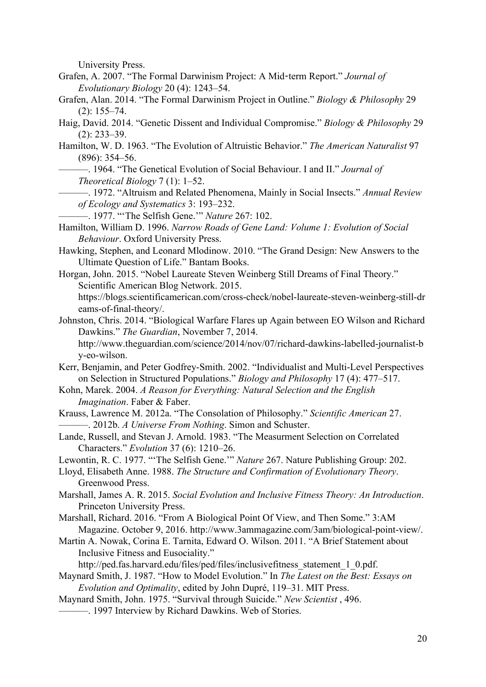[University Press.](http://paperpile.com/b/DdIufk/sGhtd)

- [Grafen, A. 2007. "The Formal Darwinism Project: A Mid](http://paperpile.com/b/DdIufk/b66Zz)-term Report." *[Journal of](http://paperpile.com/b/DdIufk/b66Zz) [Evolutionary Biology](http://paperpile.com/b/DdIufk/b66Zz)* [20 \(4\): 1243–54.](http://paperpile.com/b/DdIufk/b66Zz)
- [Grafen, Alan. 2014. "The Formal Darwinism Project in Outline."](http://paperpile.com/b/DdIufk/oPofR) *[Biology & Philosophy](http://paperpile.com/b/DdIufk/oPofR)* [29](http://paperpile.com/b/DdIufk/oPofR) [\(2\): 155–74.](http://paperpile.com/b/DdIufk/oPofR)
- [Haig, David. 2014. "Genetic Dissent and Individual Compromise."](http://paperpile.com/b/DdIufk/rwvFN) *[Biology & Philosophy](http://paperpile.com/b/DdIufk/rwvFN)* [29](http://paperpile.com/b/DdIufk/rwvFN) [\(2\): 233–39.](http://paperpile.com/b/DdIufk/rwvFN)
- [Hamilton, W. D. 1963. "The Evolution of Altruistic Behavior."](http://paperpile.com/b/DdIufk/F6bww) *[The American Naturalist](http://paperpile.com/b/DdIufk/F6bww)* [97](http://paperpile.com/b/DdIufk/F6bww) [\(896\): 354–56.](http://paperpile.com/b/DdIufk/F6bww)
	- [———. 1964. "The Genetical Evolution of Social Behaviour. I and II."](http://paperpile.com/b/DdIufk/ujyTF) *[Journal of](http://paperpile.com/b/DdIufk/ujyTF) [Theoretical Biology](http://paperpile.com/b/DdIufk/ujyTF)* [7 \(1\): 1–52.](http://paperpile.com/b/DdIufk/ujyTF)
	- [———. 1972. "Altruism and Related Phenomena, Mainly in Social Insects."](http://paperpile.com/b/DdIufk/lToZJ) *[Annual Review](http://paperpile.com/b/DdIufk/lToZJ) [of Ecology and Systematics](http://paperpile.com/b/DdIufk/lToZJ)* [3: 193–232.](http://paperpile.com/b/DdIufk/lToZJ)
- [———. 1977. "'The Selfish Gene.'"](http://paperpile.com/b/DdIufk/uyNxC) *[Nature](http://paperpile.com/b/DdIufk/uyNxC)* [267: 102.](http://paperpile.com/b/DdIufk/uyNxC)
- [Hamilton, William D. 1996.](http://paperpile.com/b/DdIufk/4xksM) *[Narrow Roads of Gene Land: Volume 1: Evolution of Social](http://paperpile.com/b/DdIufk/4xksM) [Behaviour](http://paperpile.com/b/DdIufk/4xksM)*[. Oxford University Press.](http://paperpile.com/b/DdIufk/4xksM)
- [Hawking, Stephen, and Leonard Mlodinow. 2010. "The Grand Design: New Answers to the](http://paperpile.com/b/DdIufk/AUKRs) [Ultimate Question of Life." Bantam Books.](http://paperpile.com/b/DdIufk/AUKRs)
- [Horgan, John. 2015. "Nobel Laureate Steven Weinberg Still Dreams of Final Theory."](http://paperpile.com/b/DdIufk/yYcEv) [Scientific American Blog Network. 2015.](http://paperpile.com/b/DdIufk/yYcEv) [https://blogs.scientificamerican.com/cross-check/nobel-laureate-steven-weinberg-still-dr](https://blogs.scientificamerican.com/cross-check/nobel-laureate-steven-weinberg-still-dreams-of-final-theory/) [eams-of-final-theory/](https://blogs.scientificamerican.com/cross-check/nobel-laureate-steven-weinberg-still-dreams-of-final-theory/)[.](http://paperpile.com/b/DdIufk/yYcEv)
- [Johnston, Chris. 2014. "Biological Warfare Flares up Again between EO Wilson and Richard](http://paperpile.com/b/DdIufk/nOZZZ) [Dawkins."](http://paperpile.com/b/DdIufk/nOZZZ) *[The Guardian](http://paperpile.com/b/DdIufk/nOZZZ)*[, November 7, 2014.](http://paperpile.com/b/DdIufk/nOZZZ) [http://www.theguardian.com/science/2014/nov/07/richard-dawkins-labelled-journalist-b](http://www.theguardian.com/science/2014/nov/07/richard-dawkins-labelled-journalist-by-eo-wilson) [y-eo-wilson](http://www.theguardian.com/science/2014/nov/07/richard-dawkins-labelled-journalist-by-eo-wilson)[.](http://paperpile.com/b/DdIufk/nOZZZ)
- [Kerr, Benjamin, and Peter Godfrey-Smith. 2002. "Individualist and Multi-Level Perspectives](http://paperpile.com/b/DdIufk/skZVz) [on Selection in Structured Populations."](http://paperpile.com/b/DdIufk/skZVz) *[Biology and Philosophy](http://paperpile.com/b/DdIufk/skZVz)* [17 \(4\): 477–517.](http://paperpile.com/b/DdIufk/skZVz)
- [Kohn, Marek. 2004.](http://paperpile.com/b/DdIufk/VXjdr) *[A Reason for Everything: Natural Selection and the English](http://paperpile.com/b/DdIufk/VXjdr) [Imagination](http://paperpile.com/b/DdIufk/VXjdr)*[. Faber & Faber.](http://paperpile.com/b/DdIufk/VXjdr)
- [Krauss, Lawrence M. 2012a. "The Consolation of Philosophy."](http://paperpile.com/b/DdIufk/TX8er) *[Scientific American](http://paperpile.com/b/DdIufk/TX8er)* [27.](http://paperpile.com/b/DdIufk/TX8er) [———. 2012b.](http://paperpile.com/b/DdIufk/4Pn8e) *[A Universe From Nothing](http://paperpile.com/b/DdIufk/4Pn8e)*[. Simon and Schuster.](http://paperpile.com/b/DdIufk/4Pn8e)
- [Lande, Russell, and Stevan J. Arnold. 1983. "The Measurment Selection on Correlated](http://paperpile.com/b/DdIufk/XOCu3) [Characters."](http://paperpile.com/b/DdIufk/XOCu3) *[Evolution](http://paperpile.com/b/DdIufk/XOCu3)* [37 \(6\): 1210–26.](http://paperpile.com/b/DdIufk/XOCu3)
- [Lewontin, R. C. 1977. "'The Selfish Gene.'"](http://paperpile.com/b/DdIufk/otuj9) *[Nature](http://paperpile.com/b/DdIufk/otuj9)* [267. Nature Publishing Group: 202.](http://paperpile.com/b/DdIufk/otuj9)
- [Lloyd, Elisabeth Anne. 1988.](http://paperpile.com/b/DdIufk/6SY47) *[The Structure and Confirmation of Evolutionary Theory](http://paperpile.com/b/DdIufk/6SY47)*[.](http://paperpile.com/b/DdIufk/6SY47) [Greenwood Press.](http://paperpile.com/b/DdIufk/6SY47)
- [Marshall, James A. R. 2015.](http://paperpile.com/b/DdIufk/0qYT8) *[Social Evolution and Inclusive Fitness Theory: An Introduction](http://paperpile.com/b/DdIufk/0qYT8)*[.](http://paperpile.com/b/DdIufk/0qYT8) [Princeton University Press.](http://paperpile.com/b/DdIufk/0qYT8)
- [Marshall, Richard. 2016. "From A Biological Point Of View, and Then Some." 3:AM](http://paperpile.com/b/DdIufk/oeOL5) [Magazine. October 9, 2016.](http://paperpile.com/b/DdIufk/oeOL5) <http://www.3ammagazine.com/3am/biological-point-view/>[.](http://paperpile.com/b/DdIufk/oeOL5)
- [Martin A. Nowak, Corina E. Tarnita, Edward O. Wilson. 2011. "A Brief Statement about](http://paperpile.com/b/DdIufk/9cspl) [Inclusive Fitness and Eusociality."](http://paperpile.com/b/DdIufk/9cspl)
	- [http://ped.fas.harvard.edu/files/ped/files/inclusivefitness\\_statement\\_1\\_0.pdf](http://ped.fas.harvard.edu/files/ped/files/inclusivefitness_statement_1_0.pdf)[.](http://paperpile.com/b/DdIufk/9cspl)
- [Maynard Smith, J. 1987. "How to Model Evolution." In](http://paperpile.com/b/DdIufk/8Igzv) *[The Latest on the Best: Essays on](http://paperpile.com/b/DdIufk/8Igzv) [Evolution and Optimality](http://paperpile.com/b/DdIufk/8Igzv)*[, edited by John Dupré, 119–31. MIT Press.](http://paperpile.com/b/DdIufk/8Igzv)
- [Maynard Smith, John. 1975. "Survival through Suicide."](http://paperpile.com/b/DdIufk/3yhix) *[New Scientist](http://paperpile.com/b/DdIufk/3yhix)* [, 496.](http://paperpile.com/b/DdIufk/3yhix)
- [———. 1997 Interview by Richard Dawkins. Web of Stories.](http://paperpile.com/b/DdIufk/0aMaP)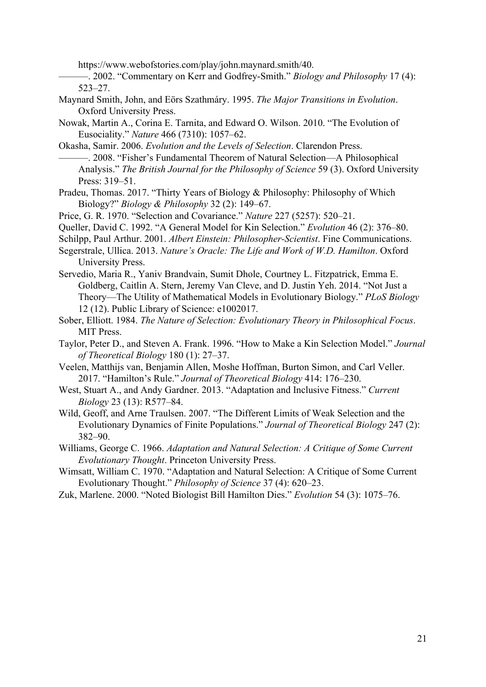<https://www.webofstories.com/play/john.maynard.smith/40>[.](http://paperpile.com/b/DdIufk/0aMaP)

[———. 2002. "Commentary on Kerr and Godfrey-Smith."](http://paperpile.com/b/DdIufk/I2kaB) *[Biology and Philosophy](http://paperpile.com/b/DdIufk/I2kaB)* [17 \(4\):](http://paperpile.com/b/DdIufk/I2kaB) [523–27.](http://paperpile.com/b/DdIufk/I2kaB)

- [Maynard Smith, John, and Eörs Szathmáry. 1995.](http://paperpile.com/b/DdIufk/hNSSN) *[The Major Transitions in Evolution](http://paperpile.com/b/DdIufk/hNSSN)*[.](http://paperpile.com/b/DdIufk/hNSSN) [Oxford University Press.](http://paperpile.com/b/DdIufk/hNSSN)
- [Nowak, Martin A., Corina E. Tarnita, and Edward O. Wilson. 2010. "The Evolution of](http://paperpile.com/b/DdIufk/nxmfg) [Eusociality."](http://paperpile.com/b/DdIufk/nxmfg) *[Nature](http://paperpile.com/b/DdIufk/nxmfg)* [466 \(7310\): 1057–62.](http://paperpile.com/b/DdIufk/nxmfg)

[Okasha, Samir. 2006.](http://paperpile.com/b/DdIufk/yQMZl) *[Evolution and the Levels of Selection](http://paperpile.com/b/DdIufk/yQMZl)*[. Clarendon Press.](http://paperpile.com/b/DdIufk/yQMZl) [———. 2008. "Fisher's Fundamental Theorem of Natural Selection—A Philosophical](http://paperpile.com/b/DdIufk/yuSyB) [Analysis."](http://paperpile.com/b/DdIufk/yuSyB) *[The British Journal for the Philosophy of Science](http://paperpile.com/b/DdIufk/yuSyB)* [59 \(3\). Oxford University](http://paperpile.com/b/DdIufk/yuSyB) [Press: 319–51.](http://paperpile.com/b/DdIufk/yuSyB)

- [Pradeu, Thomas. 2017. "Thirty Years of Biology & Philosophy: Philosophy of Which](http://paperpile.com/b/DdIufk/dIvoN) [Biology?"](http://paperpile.com/b/DdIufk/dIvoN) *[Biology & Philosophy](http://paperpile.com/b/DdIufk/dIvoN)* [32 \(2\): 149–67.](http://paperpile.com/b/DdIufk/dIvoN)
- [Price, G. R. 1970. "Selection and Covariance."](http://paperpile.com/b/DdIufk/3zaF9) *[Nature](http://paperpile.com/b/DdIufk/3zaF9)* [227 \(5257\): 520–21.](http://paperpile.com/b/DdIufk/3zaF9)
- [Queller, David C. 1992. "A General Model for Kin Selection."](http://paperpile.com/b/DdIufk/x671s) *[Evolution](http://paperpile.com/b/DdIufk/x671s)* [46 \(2\): 376–80.](http://paperpile.com/b/DdIufk/x671s)

[Schilpp, Paul Arthur. 2001.](http://paperpile.com/b/DdIufk/KAUrP) *[Albert Einstein: Philosopher-Scientist](http://paperpile.com/b/DdIufk/KAUrP)*[. Fine Communications.](http://paperpile.com/b/DdIufk/KAUrP)

- [Segerstrale, Ullica. 2013.](http://paperpile.com/b/DdIufk/RG4tB) *[Nature's Oracle: The Life and Work of W.D. Hamilton](http://paperpile.com/b/DdIufk/RG4tB)*[. Oxford](http://paperpile.com/b/DdIufk/RG4tB) [University Press.](http://paperpile.com/b/DdIufk/RG4tB)
- [Servedio, Maria R., Yaniv Brandvain, Sumit Dhole, Courtney L. Fitzpatrick, Emma E.](http://paperpile.com/b/DdIufk/G3sYT) [Goldberg, Caitlin A. Stern, Jeremy Van Cleve, and D. Justin Yeh. 2014. "Not Just a](http://paperpile.com/b/DdIufk/G3sYT) [Theory—The Utility of Mathematical Models in Evolutionary Biology."](http://paperpile.com/b/DdIufk/G3sYT) *[PLoS Biology](http://paperpile.com/b/DdIufk/G3sYT)* [12 \(12\). Public Library of Science: e1002017.](http://paperpile.com/b/DdIufk/G3sYT)
- [Sober, Elliott. 1984.](http://paperpile.com/b/DdIufk/hkSKw) *[The Nature of Selection: Evolutionary Theory in Philosophical Focus](http://paperpile.com/b/DdIufk/hkSKw)*[.](http://paperpile.com/b/DdIufk/hkSKw) [MIT Press.](http://paperpile.com/b/DdIufk/hkSKw)
- [Taylor, Peter D., and Steven A. Frank. 1996. "How to Make a Kin Selection Model."](http://paperpile.com/b/DdIufk/9PCNF) *[Journal](http://paperpile.com/b/DdIufk/9PCNF) [of Theoretical Biology](http://paperpile.com/b/DdIufk/9PCNF)* [180 \(1\): 27–37.](http://paperpile.com/b/DdIufk/9PCNF)
- [Veelen, Matthijs van, Benjamin Allen, Moshe Hoffman, Burton Simon, and Carl Veller.](http://paperpile.com/b/DdIufk/tfbg0) [2017. "Hamilton's Rule."](http://paperpile.com/b/DdIufk/tfbg0) *[Journal of Theoretical Biology](http://paperpile.com/b/DdIufk/tfbg0)* [414: 176–230.](http://paperpile.com/b/DdIufk/tfbg0)
- [West, Stuart A., and Andy Gardner. 2013. "Adaptation and Inclusive Fitness."](http://paperpile.com/b/DdIufk/Gxo42) *[Current](http://paperpile.com/b/DdIufk/Gxo42) [Biology](http://paperpile.com/b/DdIufk/Gxo42)* [23 \(13\): R577–84.](http://paperpile.com/b/DdIufk/Gxo42)
- [Wild, Geoff, and Arne Traulsen. 2007. "The Different Limits of Weak Selection and the](http://paperpile.com/b/DdIufk/5FNuz) [Evolutionary Dynamics of Finite Populations."](http://paperpile.com/b/DdIufk/5FNuz) *[Journal of Theoretical Biology](http://paperpile.com/b/DdIufk/5FNuz)* [247 \(2\):](http://paperpile.com/b/DdIufk/5FNuz) [382–90.](http://paperpile.com/b/DdIufk/5FNuz)

[Williams, George C. 1966.](http://paperpile.com/b/DdIufk/mrMzh) *[Adaptation and Natural Selection: A Critique of Some Current](http://paperpile.com/b/DdIufk/mrMzh) [Evolutionary Thought](http://paperpile.com/b/DdIufk/mrMzh)*[. Princeton University Press.](http://paperpile.com/b/DdIufk/mrMzh)

- [Wimsatt, William C. 1970. "Adaptation and Natural Selection: A Critique of Some Current](http://paperpile.com/b/DdIufk/ipIMQ) [Evolutionary Thought."](http://paperpile.com/b/DdIufk/ipIMQ) *[Philosophy of Science](http://paperpile.com/b/DdIufk/ipIMQ)* [37 \(4\): 620–23.](http://paperpile.com/b/DdIufk/ipIMQ)
- [Zuk, Marlene. 2000. "Noted Biologist Bill Hamilton Dies."](http://paperpile.com/b/DdIufk/tJwHN) *[Evolution](http://paperpile.com/b/DdIufk/tJwHN)* [54 \(3\): 1075–76.](http://paperpile.com/b/DdIufk/tJwHN)